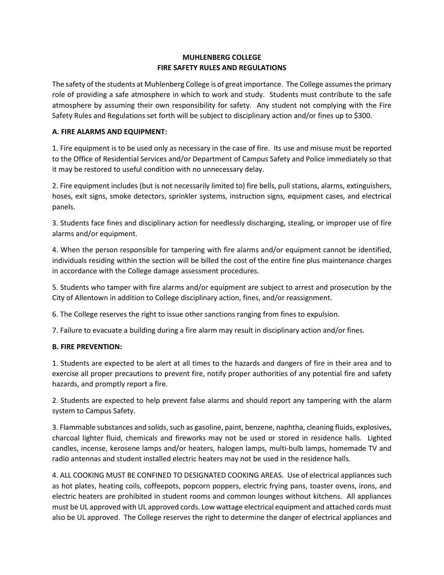## **MUHLENBERG COLLEGE FIRE SAFETY RULES AND REGULATIONS**

The safety of the students at Muhlenberg College is of great importance. The College assumes the primary role of providing a safe atmosphere in which to work and study. Students must contribute to the safe atmosphere by assuming their own responsibility for safety. Any student not complying with the Fire Safety Rules and Regulations set forth will be subject to disciplinary action and/or fines up to \$300.

## **A. FIRE ALARMS AND EQUIPMENT:**

1. Fire equipment is to be used only as necessary in the case of fire. Its use and misuse must be reported to the Office of Residential Services and/or Department of Campus Safety and Police immediately so that it may be restored to useful condition with no unnecessary delay.

2. Fire equipment includes (but is not necessarily limited to) fire bells, pull stations, alarms, extinguishers, hoses, exit signs, smoke detectors, sprinkler systems, instruction signs, equipment cases, and electrical panels.

3. Students face fines and disciplinary action for needlessly discharging, stealing, or improper use of fire alarms and/or equipment.

4. When the person responsible for tampering with fire alarms and/or equipment cannot be identified, individuals residing within the section will be billed the cost of the entire fine plus maintenance charges in accordance with the College damage assessment procedures.

5. Students who tamper with fire alarms and/or equipment are subject to arrest and prosecution by the City of Allentown in addition to College disciplinary action, fines, and/or reassignment.

6. The College reserves the right to issue other sanctions ranging from fines to expulsion.

7. Failure to evacuate a building during a fire alarm may result in disciplinary action and/or fines.

## **B. FIRE PREVENTION:**

1. Students are expected to be alert at all times to the hazards and dangers of fire in their area and to exercise all proper precautions to prevent fire, notify proper authorities of any potential fire and safety hazards, and promptly report a fire.

2. Students are expected to help prevent false alarms and should report any tampering with the alarm system to Campus Safety.

3. Flammable substances and solids, such as gasoline, paint, benzene, naphtha, cleaning fluids, explosives, charcoal lighter fluid, chemicals and fireworks may not be used or stored in residence halls. Lighted candles, incense, kerosene lamps and/or heaters, halogen lamps, multi-bulb lamps, homemade TV and radio antennas and student installed electric heaters may not be used in the residence halls.

4. ALL COOKING MUST BE CONFINED TO DESIGNATED COOKING AREAS. Use of electrical appliances such as hot plates, heating coils, coffeepots, popcorn poppers, electric frying pans, toaster ovens, irons, and electric heaters are prohibited in student rooms and common lounges without kitchens. All appliances must be UL approved with UL approved cords. Low wattage electrical equipment and attached cords must also be UL approved. The College reserves the right to determine the danger of electrical appliances and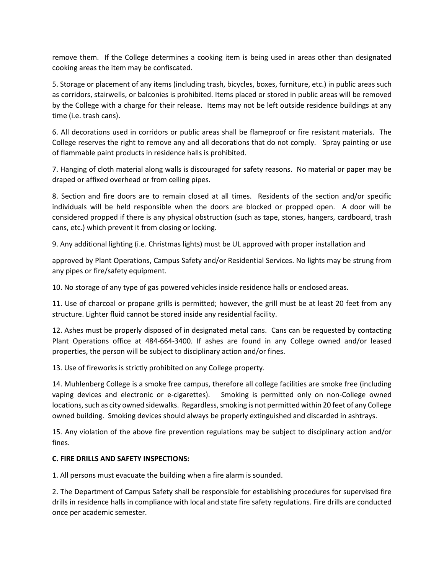remove them. If the College determines a cooking item is being used in areas other than designated cooking areas the item may be confiscated.

5. Storage or placement of any items (including trash, bicycles, boxes, furniture, etc.) in public areas such as corridors, stairwells, or balconies is prohibited. Items placed or stored in public areas will be removed by the College with a charge for their release. Items may not be left outside residence buildings at any time (i.e. trash cans).

6. All decorations used in corridors or public areas shall be flameproof or fire resistant materials. The College reserves the right to remove any and all decorations that do not comply. Spray painting or use of flammable paint products in residence halls is prohibited.

7. Hanging of cloth material along walls is discouraged for safety reasons. No material or paper may be draped or affixed overhead or from ceiling pipes.

8. Section and fire doors are to remain closed at all times. Residents of the section and/or specific individuals will be held responsible when the doors are blocked or propped open. A door will be considered propped if there is any physical obstruction (such as tape, stones, hangers, cardboard, trash cans, etc.) which prevent it from closing or locking.

9. Any additional lighting (i.e. Christmas lights) must be UL approved with proper installation and

approved by Plant Operations, Campus Safety and/or Residential Services. No lights may be strung from any pipes or fire/safety equipment.

10. No storage of any type of gas powered vehicles inside residence halls or enclosed areas.

11. Use of charcoal or propane grills is permitted; however, the grill must be at least 20 feet from any structure. Lighter fluid cannot be stored inside any residential facility.

12. Ashes must be properly disposed of in designated metal cans. Cans can be requested by contacting Plant Operations office at 484-664-3400. If ashes are found in any College owned and/or leased properties, the person will be subject to disciplinary action and/or fines.

13. Use of fireworks is strictly prohibited on any College property.

14. Muhlenberg College is a smoke free campus, therefore all college facilities are smoke free (including vaping devices and electronic or e-cigarettes). Smoking is permitted only on non-College owned locations, such as city owned sidewalks. Regardless, smoking is not permitted within 20 feet of any College owned building. Smoking devices should always be properly extinguished and discarded in ashtrays.

15. Any violation of the above fire prevention regulations may be subject to disciplinary action and/or fines.

## **C. FIRE DRILLS AND SAFETY INSPECTIONS:**

1. All persons must evacuate the building when a fire alarm is sounded.

2. The Department of Campus Safety shall be responsible for establishing procedures for supervised fire drills in residence halls in compliance with local and state fire safety regulations. Fire drills are conducted once per academic semester.